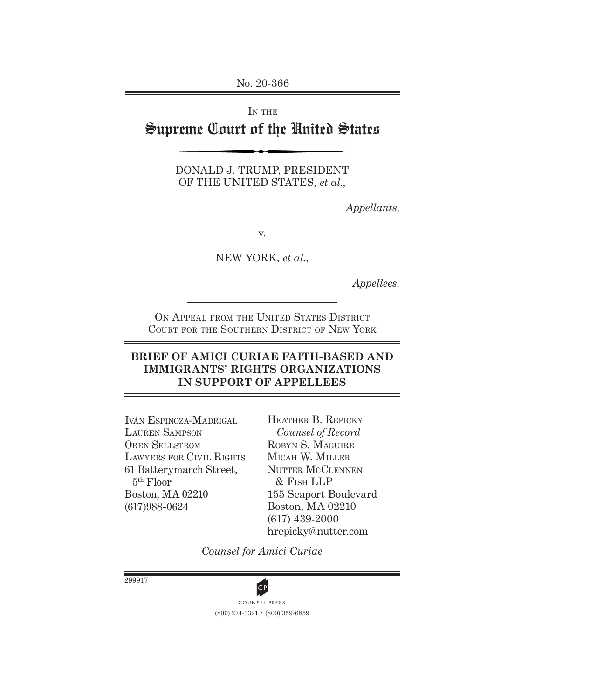No. 20-366

# IN THE Supreme Court of the United States

DONALD J. TRUMP, PRESIDENT OF THE UNITED STATES, *et al.*,

*Appellants,*

v.

NEW YORK, *et al.*,

*Appellees.*

ON APPEAL FROM THE UNITED STATES DISTRICT Court for the Southern District of New York

### **BRIEF OF AMICI CURIAE FAITH-BASED AND IMMIGRANTS' RIGHTS ORGANIZATIONS IN SUPPORT OF APPELLEES**

Iván Espinoza-Madrigal Lauren Sampson Oren Sellstrom Lawyers for Civil Rights 61 Batterymarch Street, 5th Floor Boston, MA 02210 (617)988-0624

Heather B. Repicky *Counsel of Record* ROBYN S. MAGUIRE Micah W. Miller NUTTER MCCLENNEN & Fish LLP 155 Seaport Boulevard Boston, MA 02210 (617) 439-2000 hrepicky@nutter.com

*Counsel for Amici Curiae*

299917



(800) 274-3321 • (800) 359-6859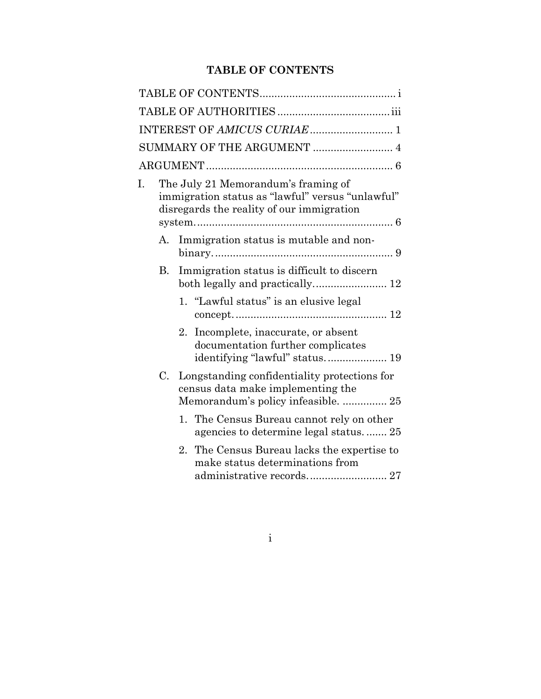## **TABLE OF CONTENTS**

|    |    | SUMMARY OF THE ARGUMENT  4                                                                                                           |
|----|----|--------------------------------------------------------------------------------------------------------------------------------------|
|    |    |                                                                                                                                      |
| I. |    | The July 21 Memorandum's framing of<br>immigration status as "lawful" versus "unlawful"<br>disregards the reality of our immigration |
|    | А. | Immigration status is mutable and non-                                                                                               |
|    | В. | Immigration status is difficult to discern<br>both legally and practically 12                                                        |
|    |    | 1. "Lawful status" is an elusive legal                                                                                               |
|    |    | Incomplete, inaccurate, or absent<br>2.<br>documentation further complicates                                                         |
|    | C. | Longstanding confidentiality protections for<br>census data make implementing the<br>Memorandum's policy infeasible.  25             |
|    |    | The Census Bureau cannot rely on other<br>$1_{-}$<br>agencies to determine legal status.  25                                         |
|    |    | The Census Bureau lacks the expertise to<br>2.<br>make status determinations from<br>administrative records 27                       |

i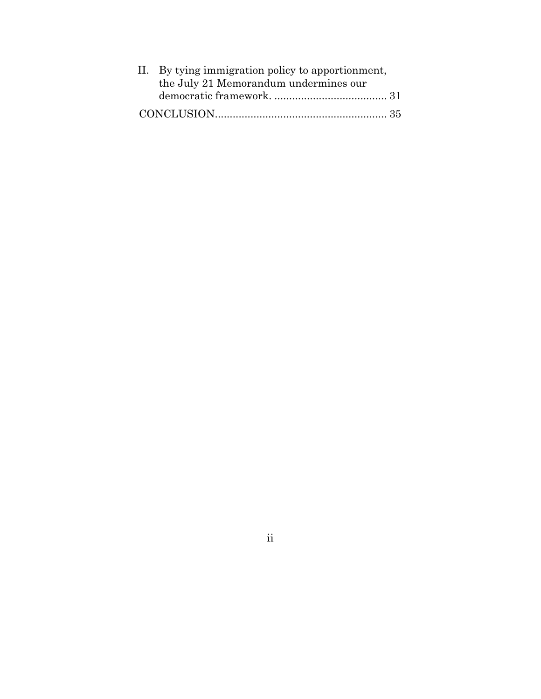| II. By tying immigration policy to apportionment, |  |
|---------------------------------------------------|--|
| the July 21 Memorandum undermines our             |  |
|                                                   |  |
|                                                   |  |

ii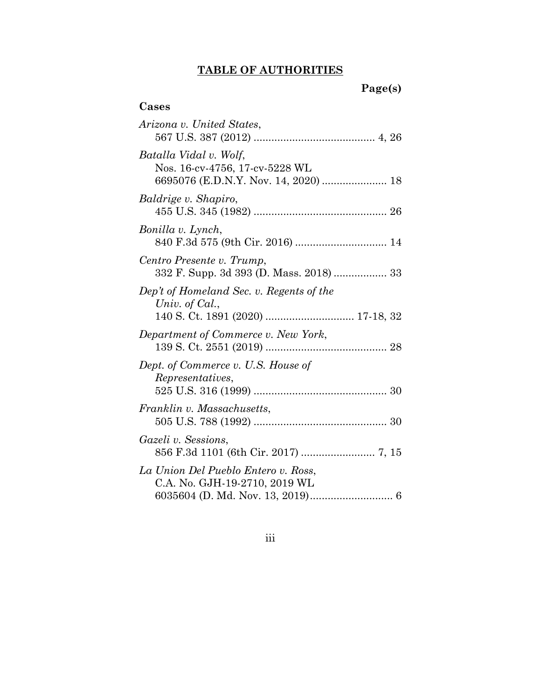## **TABLE OF AUTHORITIES**

# **Page(s)**

## **Cases**

| Arizona v. United States,                                            |
|----------------------------------------------------------------------|
| Batalla Vidal v. Wolf,<br>Nos. 16-cv-4756, 17-cv-5228 WL             |
| Baldrige v. Shapiro,                                                 |
| Bonilla v. Lynch,                                                    |
| Centro Presente v. Trump,                                            |
| Dep't of Homeland Sec. v. Regents of the<br>Univ. of Cal.,           |
| Department of Commerce v. New York,                                  |
| Dept. of Commerce v. U.S. House of<br>Representatives,               |
| Franklin v. Massachusetts,                                           |
| Gazeli v. Sessions,                                                  |
| La Union Del Pueblo Entero v. Ross,<br>C.A. No. GJH-19-2710, 2019 WL |

iii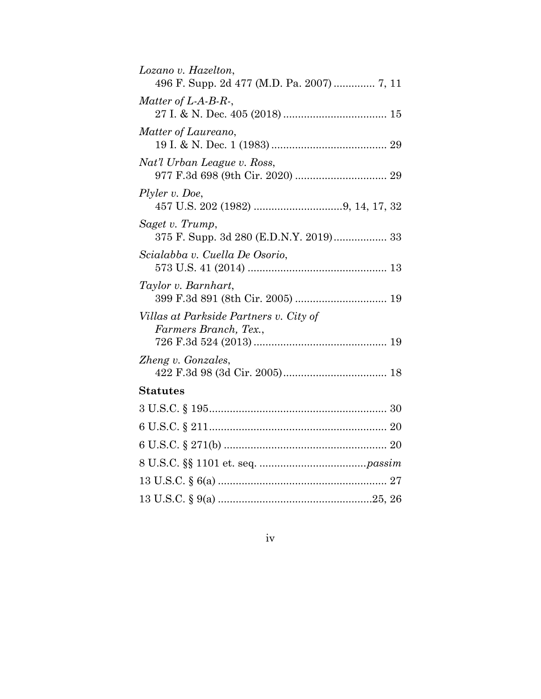iv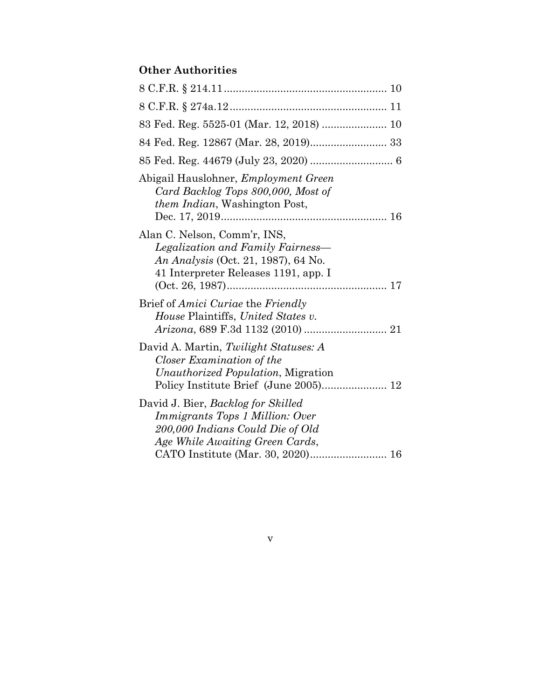## **Other Authorities**

| 83 Fed. Reg. 5525-01 (Mar. 12, 2018)  10                                                                                                                                          |
|-----------------------------------------------------------------------------------------------------------------------------------------------------------------------------------|
| 84 Fed. Reg. 12867 (Mar. 28, 2019) 33                                                                                                                                             |
| 85 Fed. Reg. 44679 (July 23, 2020)  6                                                                                                                                             |
| Abigail Hauslohner, Employment Green<br>Card Backlog Tops 800,000, Most of<br><i>them Indian</i> , Washington Post,                                                               |
| Alan C. Nelson, Comm'r, INS,<br>Legalization and Family Fairness-<br>An Analysis (Oct. 21, 1987), 64 No.<br>41 Interpreter Releases 1191, app. I                                  |
| Brief of <i>Amici Curiae</i> the <i>Friendly</i><br><i>House Plaintiffs, United States v.</i>                                                                                     |
| David A. Martin, Twilight Statuses: A<br>Closer Examination of the<br><i>Unauthorized Population</i> , Migration<br>Policy Institute Brief (June 2005) 12                         |
| David J. Bier, Backlog for Skilled<br>Immigrants Tops 1 Million: Over<br>200,000 Indians Could Die of Old<br>Age While Awaiting Green Cards,<br>CATO Institute (Mar. 30, 2020) 16 |

v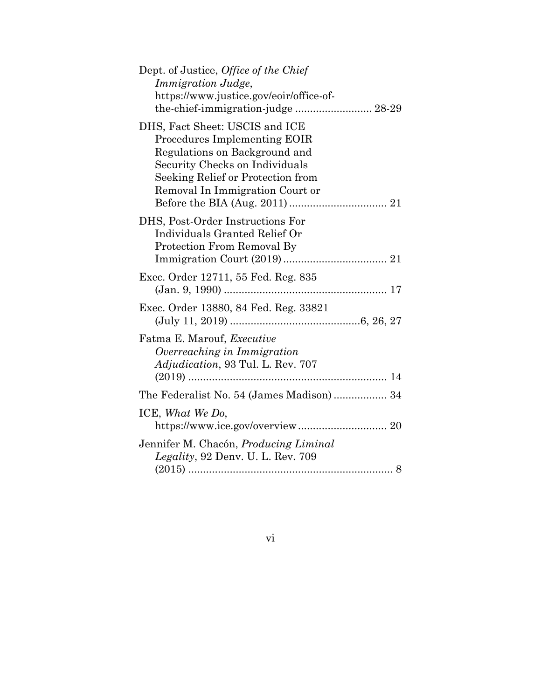| Dept. of Justice, Office of the Chief<br><i>Immigration Judge,</i><br>https://www.justice.gov/eoir/office-of-<br>the-chief-immigration-judge  28-29                                                       |
|-----------------------------------------------------------------------------------------------------------------------------------------------------------------------------------------------------------|
| DHS, Fact Sheet: USCIS and ICE<br>Procedures Implementing EOIR<br>Regulations on Background and<br>Security Checks on Individuals<br>Seeking Relief or Protection from<br>Removal In Immigration Court or |
| DHS, Post-Order Instructions For<br>Individuals Granted Relief Or<br>Protection From Removal By                                                                                                           |
| Exec. Order 12711, 55 Fed. Reg. 835                                                                                                                                                                       |
| Exec. Order 13880, 84 Fed. Reg. 33821                                                                                                                                                                     |
| Fatma E. Marouf, <i>Executive</i><br>Overreaching in Immigration<br>Adjudication, 93 Tul. L. Rev. 707                                                                                                     |
| The Federalist No. 54 (James Madison) 34                                                                                                                                                                  |
| ICE, What We Do,                                                                                                                                                                                          |
| Jennifer M. Chacón, Producing Liminal<br><i>Legality</i> , 92 Denv. U. L. Rev. 709                                                                                                                        |

## vi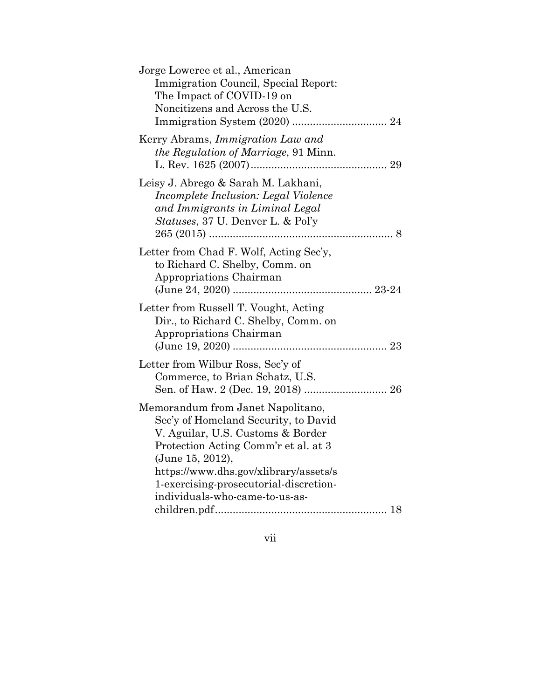| Jorge Loweree et al., American<br>Immigration Council, Special Report:<br>The Impact of COVID-19 on<br>Noncitizens and Across the U.S.                                                                                                                                                          |
|-------------------------------------------------------------------------------------------------------------------------------------------------------------------------------------------------------------------------------------------------------------------------------------------------|
| Kerry Abrams, <i>Immigration Law and</i><br><i>the Regulation of Marriage</i> , 91 Minn.                                                                                                                                                                                                        |
| Leisy J. Abrego & Sarah M. Lakhani,<br>Incomplete Inclusion: Legal Violence<br>and Immigrants in Liminal Legal<br>Statuses, 37 U. Denver L. & Pol'y                                                                                                                                             |
| Letter from Chad F. Wolf, Acting Sec'y,<br>to Richard C. Shelby, Comm. on<br>Appropriations Chairman                                                                                                                                                                                            |
| Letter from Russell T. Vought, Acting<br>Dir., to Richard C. Shelby, Comm. on<br>Appropriations Chairman                                                                                                                                                                                        |
| Letter from Wilbur Ross, Sec'y of<br>Commerce, to Brian Schatz, U.S.<br>Sen. of Haw. 2 (Dec. 19, 2018)  26                                                                                                                                                                                      |
| Memorandum from Janet Napolitano,<br>Sec'y of Homeland Security, to David<br>V. Aguilar, U.S. Customs & Border<br>Protection Acting Comm'r et al. at 3<br>(June 15, 2012),<br>https://www.dhs.gov/xlibrary/assets/s<br>1-exercising-prosecutorial-discretion-<br>individuals-who-came-to-us-as- |

vii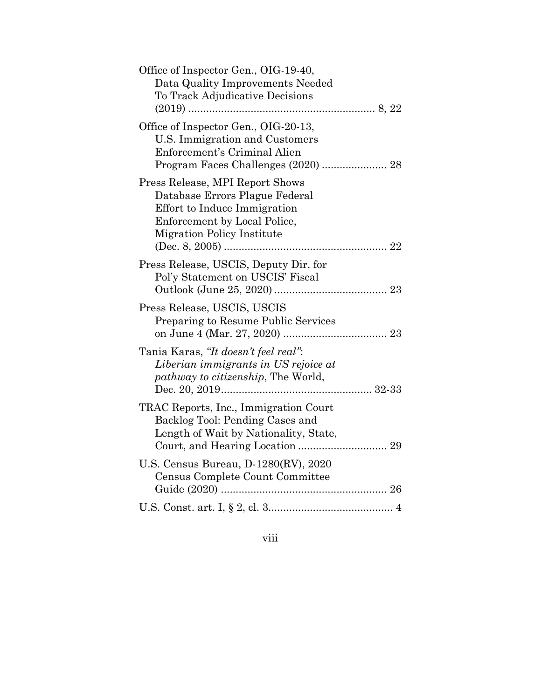| Office of Inspector Gen., OIG-19-40,<br>Data Quality Improvements Needed<br>To Track Adjudicative Decisions                                                     |
|-----------------------------------------------------------------------------------------------------------------------------------------------------------------|
| Office of Inspector Gen., OIG-20-13,<br>U.S. Immigration and Customers<br>Enforcement's Criminal Alien<br>Program Faces Challenges (2020)  28                   |
| Press Release, MPI Report Shows<br>Database Errors Plague Federal<br>Effort to Induce Immigration<br>Enforcement by Local Police,<br>Migration Policy Institute |
| Press Release, USCIS, Deputy Dir. for<br>Pol'y Statement on USCIS' Fiscal                                                                                       |
| Press Release, USCIS, USCIS<br>Preparing to Resume Public Services                                                                                              |
| Tania Karas, "It doesn't feel real":<br>Liberian immigrants in US rejoice at<br>pathway to citizenship, The World,                                              |
| TRAC Reports, Inc., Immigration Court<br>Backlog Tool: Pending Cases and<br>Length of Wait by Nationality, State,                                               |
| U.S. Census Bureau, D-1280(RV), 2020<br>Census Complete Count Committee                                                                                         |
|                                                                                                                                                                 |

viii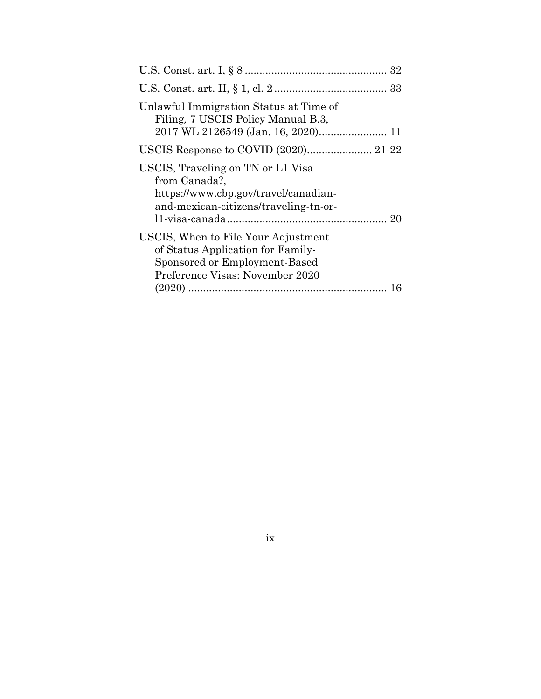| Unlawful Immigration Status at Time of<br>Filing, 7 USCIS Policy Manual B.3,                                                                 |
|----------------------------------------------------------------------------------------------------------------------------------------------|
|                                                                                                                                              |
| USCIS, Traveling on TN or L1 Visa<br>from Canada?,<br>https://www.cbp.gov/travel/canadian-<br>and-mexican-citizens/traveling-tn-or-          |
| USCIS, When to File Your Adjustment<br>of Status Application for Family-<br>Sponsored or Employment-Based<br>Preference Visas: November 2020 |

### ix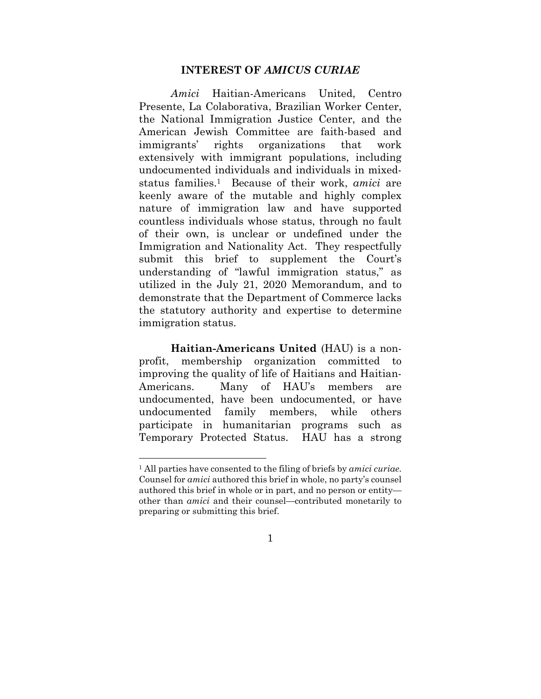#### **INTEREST OF** *AMICUS CURIAE*

*Amici* Haitian-Americans United, Centro Presente, La Colaborativa, Brazilian Worker Center, the National Immigration Justice Center, and the American Jewish Committee are faith-based and immigrants' rights organizations that work extensively with immigrant populations, including undocumented individuals and individuals in mixedstatus families.1 Because of their work, *amici* are keenly aware of the mutable and highly complex nature of immigration law and have supported countless individuals whose status, through no fault of their own, is unclear or undefined under the Immigration and Nationality Act. They respectfully submit this brief to supplement the Court's understanding of "lawful immigration status," as utilized in the July 21, 2020 Memorandum, and to demonstrate that the Department of Commerce lacks the statutory authority and expertise to determine immigration status.

**Haitian-Americans United** (HAU) is a nonprofit, membership organization committed to improving the quality of life of Haitians and Haitian-Americans. Many of HAU's members are undocumented, have been undocumented, or have undocumented family members, while others participate in humanitarian programs such as Temporary Protected Status. HAU has a strong

<sup>1</sup> All parties have consented to the filing of briefs by *amici curiae*. Counsel for *amici* authored this brief in whole, no party's counsel authored this brief in whole or in part, and no person or entity other than *amici* and their counsel—contributed monetarily to preparing or submitting this brief.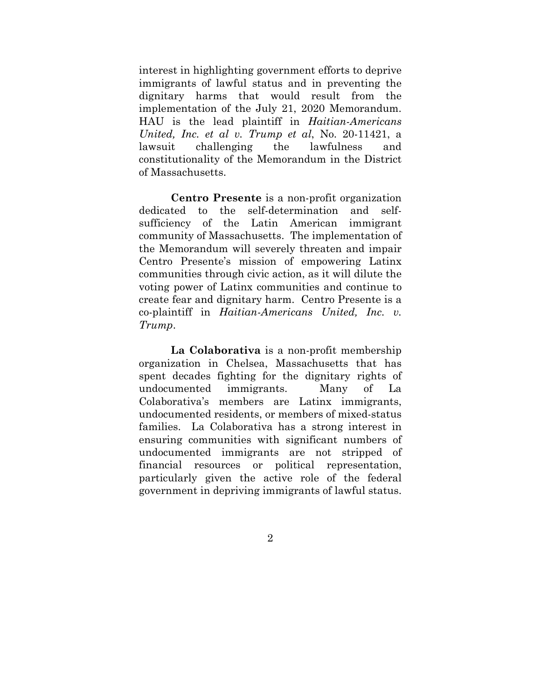interest in highlighting government efforts to deprive immigrants of lawful status and in preventing the dignitary harms that would result from the implementation of the July 21, 2020 Memorandum. HAU is the lead plaintiff in *Haitian-Americans United, Inc. et al v. Trump et al*, No. 20-11421, a lawsuit challenging the lawfulness and constitutionality of the Memorandum in the District of Massachusetts.

**Centro Presente** is a non-profit organization dedicated to the self-determination and selfsufficiency of the Latin American immigrant community of Massachusetts. The implementation of the Memorandum will severely threaten and impair Centro Presente's mission of empowering Latinx communities through civic action, as it will dilute the voting power of Latinx communities and continue to create fear and dignitary harm. Centro Presente is a co-plaintiff in *Haitian-Americans United, Inc. v. Trump*.

**La Colaborativa** is a non-profit membership organization in Chelsea, Massachusetts that has spent decades fighting for the dignitary rights of undocumented immigrants. Many of La Colaborativa's members are Latinx immigrants, undocumented residents, or members of mixed-status families. La Colaborativa has a strong interest in ensuring communities with significant numbers of undocumented immigrants are not stripped of financial resources or political representation, particularly given the active role of the federal government in depriving immigrants of lawful status.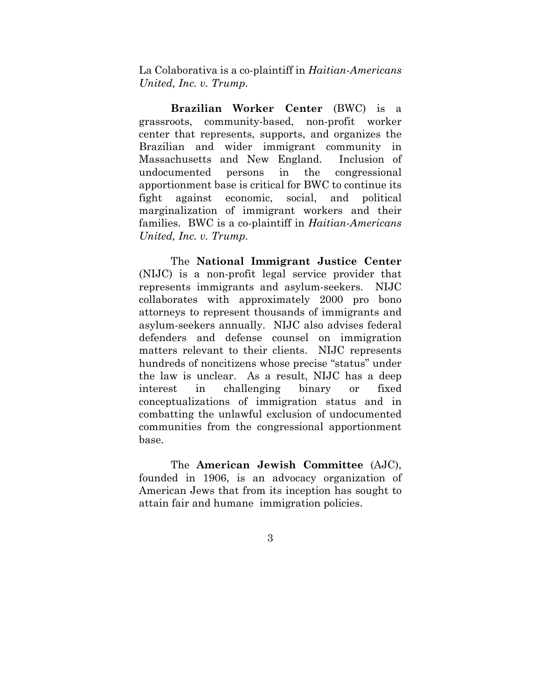La Colaborativa is a co-plaintiff in *Haitian-Americans United, Inc. v. Trump*.

**Brazilian Worker Center** (BWC) is a grassroots, community-based, non-profit worker center that represents, supports, and organizes the Brazilian and wider immigrant community in Massachusetts and New England. Inclusion of undocumented persons in the congressional apportionment base is critical for BWC to continue its fight against economic, social, and political marginalization of immigrant workers and their families. BWC is a co-plaintiff in *Haitian-Americans United, Inc. v. Trump*.

The **National Immigrant Justice Center** (NIJC) is a non-profit legal service provider that represents immigrants and asylum-seekers. NIJC collaborates with approximately 2000 pro bono attorneys to represent thousands of immigrants and asylum-seekers annually. NIJC also advises federal defenders and defense counsel on immigration matters relevant to their clients. NIJC represents hundreds of noncitizens whose precise "status" under the law is unclear. As a result, NIJC has a deep interest in challenging binary or fixed conceptualizations of immigration status and in combatting the unlawful exclusion of undocumented communities from the congressional apportionment base.

The **American Jewish Committee** (AJC), founded in 1906, is an advocacy organization of American Jews that from its inception has sought to attain fair and humane immigration policies.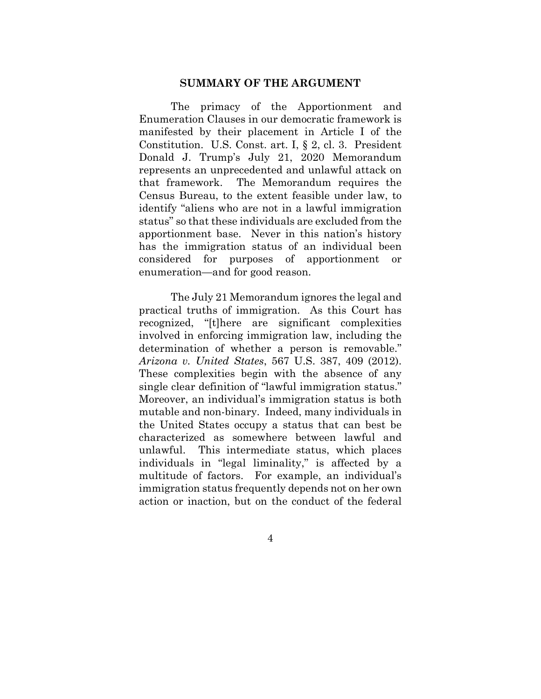#### **SUMMARY OF THE ARGUMENT**

The primacy of the Apportionment and Enumeration Clauses in our democratic framework is manifested by their placement in Article I of the Constitution. U.S. Const. art. I, § 2, cl. 3. President Donald J. Trump's July 21, 2020 Memorandum represents an unprecedented and unlawful attack on that framework. The Memorandum requires the Census Bureau, to the extent feasible under law, to identify "aliens who are not in a lawful immigration status" so that these individuals are excluded from the apportionment base. Never in this nation's history has the immigration status of an individual been considered for purposes of apportionment or enumeration—and for good reason.

The July 21 Memorandum ignores the legal and practical truths of immigration. As this Court has recognized, "[t]here are significant complexities involved in enforcing immigration law, including the determination of whether a person is removable." *Arizona v. United States*, 567 U.S. 387, 409 (2012). These complexities begin with the absence of any single clear definition of "lawful immigration status." Moreover, an individual's immigration status is both mutable and non-binary. Indeed, many individuals in the United States occupy a status that can best be characterized as somewhere between lawful and unlawful. This intermediate status, which places individuals in "legal liminality," is affected by a multitude of factors. For example, an individual's immigration status frequently depends not on her own action or inaction, but on the conduct of the federal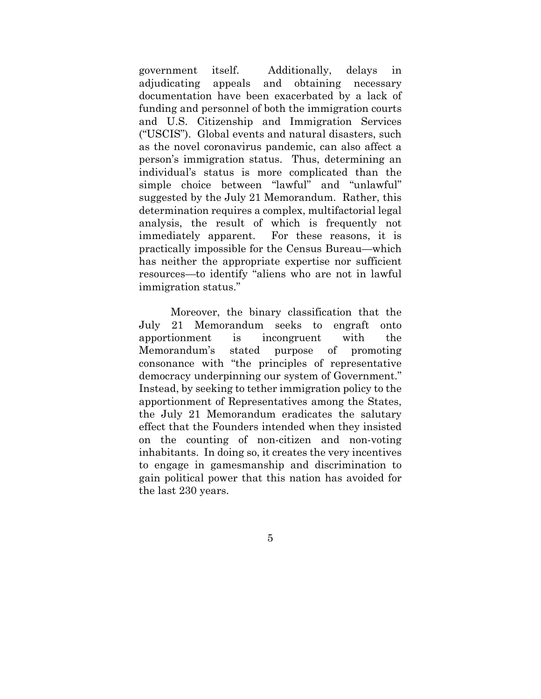government itself. Additionally, delays in adjudicating appeals and obtaining necessary documentation have been exacerbated by a lack of funding and personnel of both the immigration courts and U.S. Citizenship and Immigration Services ("USCIS"). Global events and natural disasters, such as the novel coronavirus pandemic, can also affect a person's immigration status. Thus, determining an individual's status is more complicated than the simple choice between "lawful" and "unlawful" suggested by the July 21 Memorandum. Rather, this determination requires a complex, multifactorial legal analysis, the result of which is frequently not immediately apparent. For these reasons, it is practically impossible for the Census Bureau—which has neither the appropriate expertise nor sufficient resources—to identify "aliens who are not in lawful immigration status."

Moreover, the binary classification that the July 21 Memorandum seeks to engraft onto apportionment is incongruent with the Memorandum's stated purpose of promoting consonance with "the principles of representative democracy underpinning our system of Government." Instead, by seeking to tether immigration policy to the apportionment of Representatives among the States, the July 21 Memorandum eradicates the salutary effect that the Founders intended when they insisted on the counting of non-citizen and non-voting inhabitants. In doing so, it creates the very incentives to engage in gamesmanship and discrimination to gain political power that this nation has avoided for the last 230 years.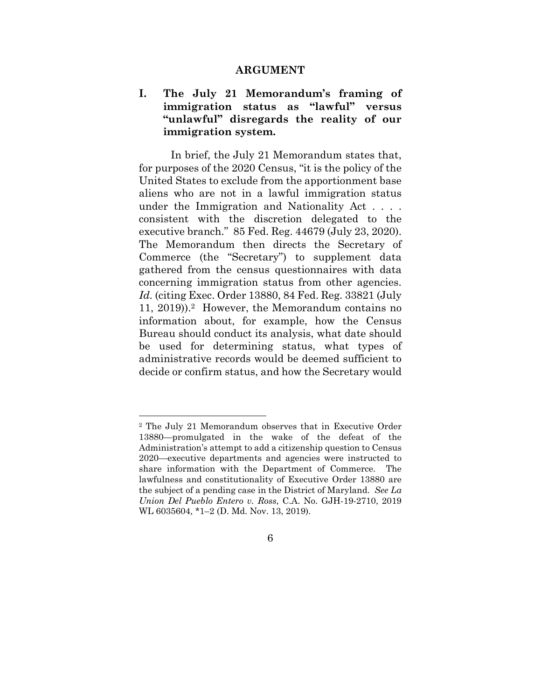#### **ARGUMENT**

### **I. The July 21 Memorandum's framing of immigration status as "lawful" versus "unlawful" disregards the reality of our immigration system.**

In brief, the July 21 Memorandum states that, for purposes of the 2020 Census, "it is the policy of the United States to exclude from the apportionment base aliens who are not in a lawful immigration status under the Immigration and Nationality Act . . . . consistent with the discretion delegated to the executive branch." 85 Fed. Reg. 44679 (July 23, 2020). The Memorandum then directs the Secretary of Commerce (the "Secretary") to supplement data gathered from the census questionnaires with data concerning immigration status from other agencies. *Id.* (citing Exec. Order 13880, 84 Fed. Reg. 33821 (July 11, 2019)).2 However, the Memorandum contains no information about, for example, how the Census Bureau should conduct its analysis, what date should be used for determining status, what types of administrative records would be deemed sufficient to decide or confirm status, and how the Secretary would

<sup>2</sup> The July 21 Memorandum observes that in Executive Order 13880—promulgated in the wake of the defeat of the Administration's attempt to add a citizenship question to Census 2020—executive departments and agencies were instructed to share information with the Department of Commerce. The lawfulness and constitutionality of Executive Order 13880 are the subject of a pending case in the District of Maryland. *See La Union Del Pueblo Entero v. Ross*, C.A. No. GJH-19-2710, 2019 WL 6035604, \*1–2 (D. Md. Nov. 13, 2019).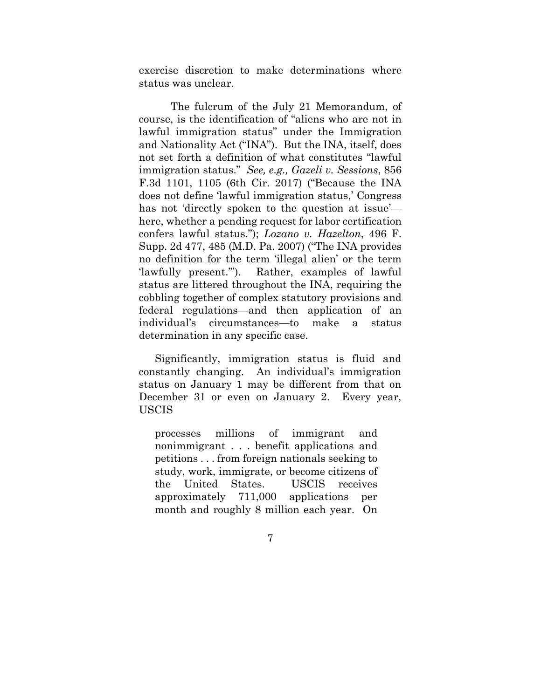exercise discretion to make determinations where status was unclear.

The fulcrum of the July 21 Memorandum, of course, is the identification of "aliens who are not in lawful immigration status" under the Immigration and Nationality Act ("INA"). But the INA, itself, does not set forth a definition of what constitutes "lawful immigration status." *See, e.g., Gazeli v. Sessions*, 856 F.3d 1101, 1105 (6th Cir. 2017) ("Because the INA does not define 'lawful immigration status,' Congress has not 'directly spoken to the question at issue' here, whether a pending request for labor certification confers lawful status."); *Lozano v. Hazelton*, 496 F. Supp. 2d 477, 485 (M.D. Pa. 2007) ("The INA provides no definition for the term 'illegal alien' or the term 'lawfully present.'"). Rather, examples of lawful status are littered throughout the INA, requiring the cobbling together of complex statutory provisions and federal regulations—and then application of an individual's circumstances—to make a status determination in any specific case.

Significantly, immigration status is fluid and constantly changing. An individual's immigration status on January 1 may be different from that on December 31 or even on January 2. Every year, USCIS

processes millions of immigrant and nonimmigrant . . . benefit applications and petitions . . . from foreign nationals seeking to study, work, immigrate, or become citizens of the United States. USCIS receives approximately 711,000 applications per month and roughly 8 million each year. On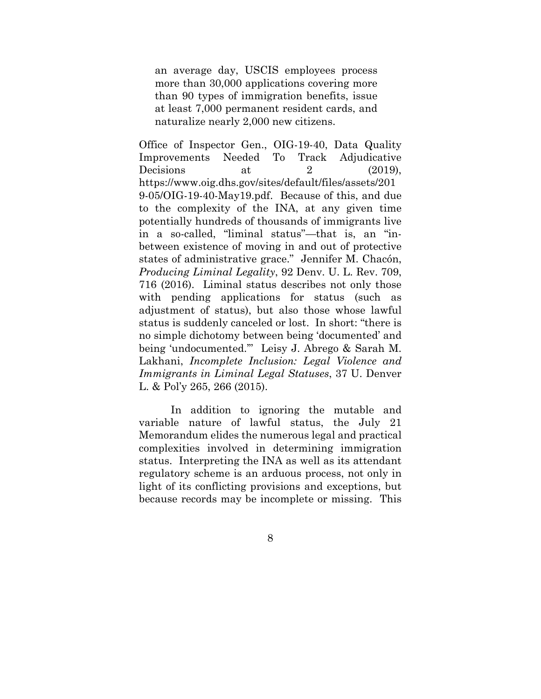an average day, USCIS employees process more than 30,000 applications covering more than 90 types of immigration benefits, issue at least 7,000 permanent resident cards, and naturalize nearly 2,000 new citizens.

Office of Inspector Gen., OIG-19-40, Data Quality Improvements Needed To Track Adjudicative Decisions at  $2(2019)$ , https://www.oig.dhs.gov/sites/default/files/assets/201 9-05/OIG-19-40-May19.pdf. Because of this, and due to the complexity of the INA, at any given time potentially hundreds of thousands of immigrants live in a so-called, "liminal status"—that is, an "inbetween existence of moving in and out of protective states of administrative grace." Jennifer M. Chacón, *Producing Liminal Legality*, 92 Denv. U. L. Rev. 709, 716 (2016). Liminal status describes not only those with pending applications for status (such as adjustment of status), but also those whose lawful status is suddenly canceled or lost. In short: "there is no simple dichotomy between being 'documented' and being 'undocumented.'" Leisy J. Abrego & Sarah M. Lakhani, *Incomplete Inclusion: Legal Violence and Immigrants in Liminal Legal Statuses*, 37 U. Denver L. & Pol'y 265, 266 (2015).

In addition to ignoring the mutable and variable nature of lawful status, the July 21 Memorandum elides the numerous legal and practical complexities involved in determining immigration status. Interpreting the INA as well as its attendant regulatory scheme is an arduous process, not only in light of its conflicting provisions and exceptions, but because records may be incomplete or missing. This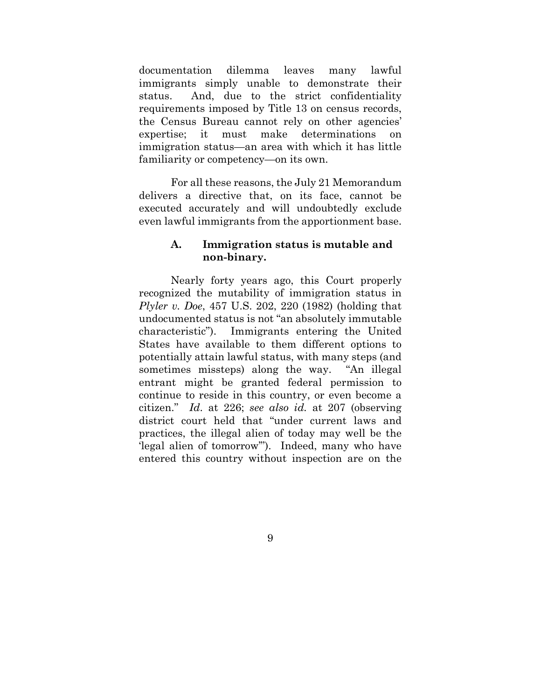documentation dilemma leaves many lawful immigrants simply unable to demonstrate their status. And, due to the strict confidentiality requirements imposed by Title 13 on census records, the Census Bureau cannot rely on other agencies' expertise; it must make determinations on immigration status—an area with which it has little familiarity or competency—on its own.

For all these reasons, the July 21 Memorandum delivers a directive that, on its face, cannot be executed accurately and will undoubtedly exclude even lawful immigrants from the apportionment base.

#### **A. Immigration status is mutable and non-binary.**

Nearly forty years ago, this Court properly recognized the mutability of immigration status in *Plyler v. Doe*, 457 U.S. 202, 220 (1982) (holding that undocumented status is not "an absolutely immutable characteristic"). Immigrants entering the United States have available to them different options to potentially attain lawful status, with many steps (and sometimes missteps) along the way. "An illegal entrant might be granted federal permission to continue to reside in this country, or even become a citizen." *Id*. at 226; *see also id.* at 207 (observing district court held that "under current laws and practices, the illegal alien of today may well be the 'legal alien of tomorrow'"). Indeed, many who have entered this country without inspection are on the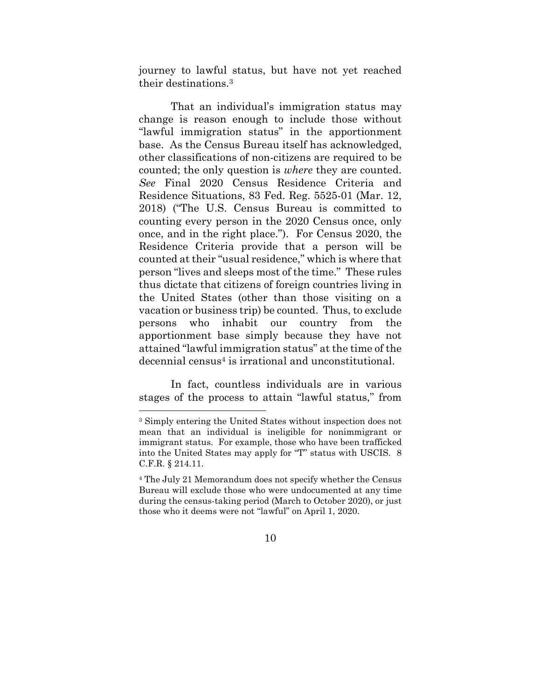journey to lawful status, but have not yet reached their destinations.3

That an individual's immigration status may change is reason enough to include those without "lawful immigration status" in the apportionment base. As the Census Bureau itself has acknowledged, other classifications of non-citizens are required to be counted; the only question is *where* they are counted. *See* Final 2020 Census Residence Criteria and Residence Situations, 83 Fed. Reg. 5525-01 (Mar. 12, 2018) ("The U.S. Census Bureau is committed to counting every person in the 2020 Census once, only once, and in the right place."). For Census 2020, the Residence Criteria provide that a person will be counted at their "usual residence," which is where that person "lives and sleeps most of the time." These rules thus dictate that citizens of foreign countries living in the United States (other than those visiting on a vacation or business trip) be counted. Thus, to exclude persons who inhabit our country from the apportionment base simply because they have not attained "lawful immigration status" at the time of the decennial census4 is irrational and unconstitutional.

In fact, countless individuals are in various stages of the process to attain "lawful status," from

<sup>3</sup> Simply entering the United States without inspection does not mean that an individual is ineligible for nonimmigrant or immigrant status. For example, those who have been trafficked into the United States may apply for "T" status with USCIS. 8 C.F.R. § 214.11.

<sup>4</sup> The July 21 Memorandum does not specify whether the Census Bureau will exclude those who were undocumented at any time during the census-taking period (March to October 2020), or just those who it deems were not "lawful" on April 1, 2020.

<sup>10</sup>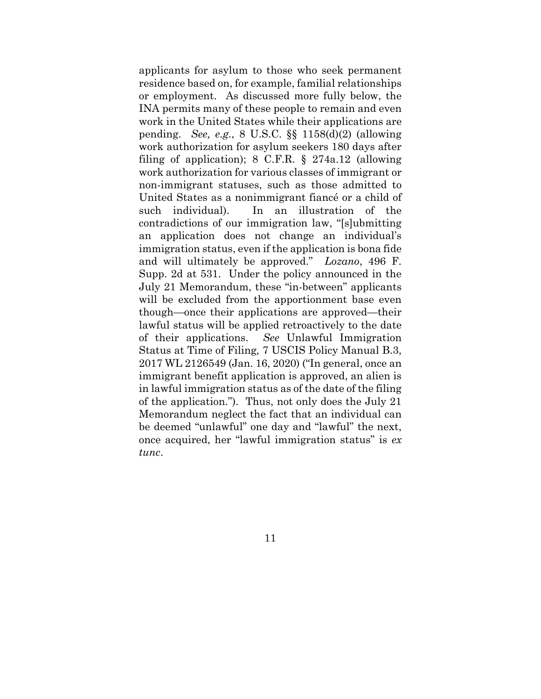applicants for asylum to those who seek permanent residence based on, for example, familial relationships or employment. As discussed more fully below, the INA permits many of these people to remain and even work in the United States while their applications are pending. *See, e.g.*, 8 U.S.C. §§ 1158(d)(2) (allowing work authorization for asylum seekers 180 days after filing of application); 8 C.F.R. § 274a.12 (allowing work authorization for various classes of immigrant or non-immigrant statuses, such as those admitted to United States as a nonimmigrant fiancé or a child of such individual). In an illustration of the contradictions of our immigration law, "[s]ubmitting an application does not change an individual's immigration status, even if the application is bona fide and will ultimately be approved." *Lozano*, 496 F. Supp. 2d at 531. Under the policy announced in the July 21 Memorandum, these "in-between" applicants will be excluded from the apportionment base even though—once their applications are approved—their lawful status will be applied retroactively to the date of their applications. *See* Unlawful Immigration Status at Time of Filing*,* 7 USCIS Policy Manual B.3, 2017 WL 2126549 (Jan. 16, 2020) ("In general, once an immigrant benefit application is approved, an alien is in lawful immigration status as of the date of the filing of the application."). Thus, not only does the July 21 Memorandum neglect the fact that an individual can be deemed "unlawful" one day and "lawful" the next, once acquired, her "lawful immigration status" is *ex tunc*.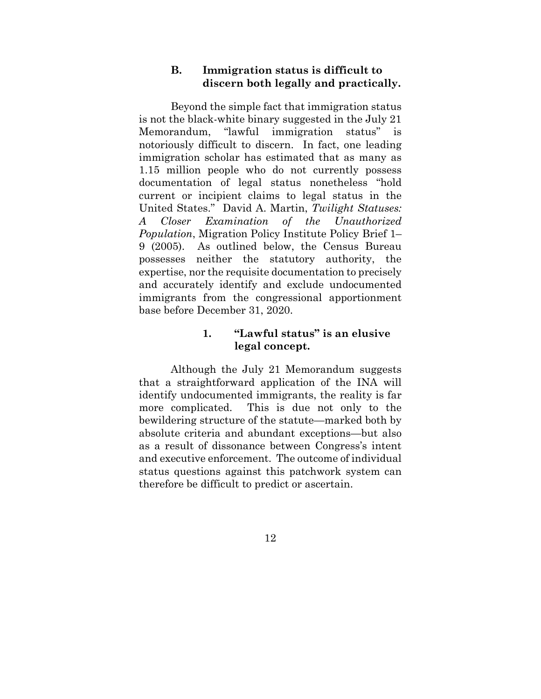#### **B. Immigration status is difficult to discern both legally and practically.**

Beyond the simple fact that immigration status is not the black-white binary suggested in the July 21 Memorandum, "lawful immigration status" is notoriously difficult to discern. In fact, one leading immigration scholar has estimated that as many as 1.15 million people who do not currently possess documentation of legal status nonetheless "hold current or incipient claims to legal status in the United States." David A. Martin, *Twilight Statuses: A Closer Examination of the Unauthorized Population*, Migration Policy Institute Policy Brief 1– 9 (2005). As outlined below, the Census Bureau possesses neither the statutory authority, the expertise, nor the requisite documentation to precisely and accurately identify and exclude undocumented immigrants from the congressional apportionment base before December 31, 2020.

#### **1. "Lawful status" is an elusive legal concept.**

Although the July 21 Memorandum suggests that a straightforward application of the INA will identify undocumented immigrants, the reality is far more complicated. This is due not only to the bewildering structure of the statute—marked both by absolute criteria and abundant exceptions—but also as a result of dissonance between Congress's intent and executive enforcement. The outcome of individual status questions against this patchwork system can therefore be difficult to predict or ascertain.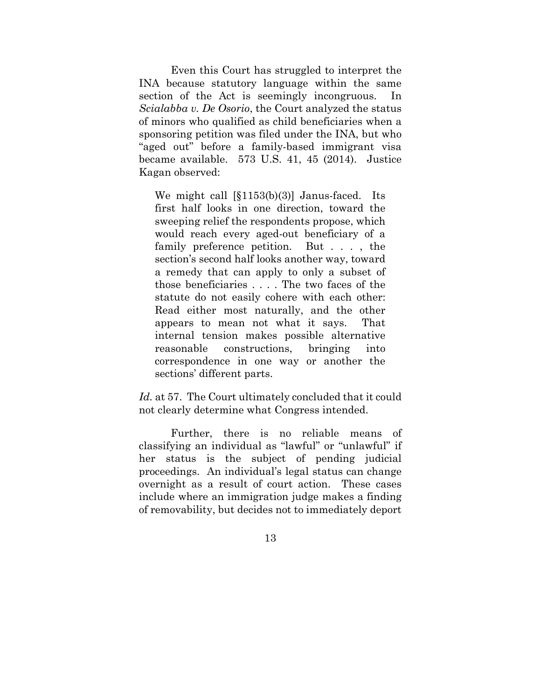Even this Court has struggled to interpret the INA because statutory language within the same section of the Act is seemingly incongruous. In *Scialabba v. De Osorio*, the Court analyzed the status of minors who qualified as child beneficiaries when a sponsoring petition was filed under the INA, but who "aged out" before a family-based immigrant visa became available. 573 U.S. 41, 45 (2014). Justice Kagan observed:

We might call [§1153(b)(3)] Janus-faced. Its first half looks in one direction, toward the sweeping relief the respondents propose, which would reach every aged-out beneficiary of a family preference petition. But . . . , the section's second half looks another way, toward a remedy that can apply to only a subset of those beneficiaries . . . . The two faces of the statute do not easily cohere with each other: Read either most naturally, and the other appears to mean not what it says. That internal tension makes possible alternative reasonable constructions, bringing into correspondence in one way or another the sections' different parts.

*Id.* at 57. The Court ultimately concluded that it could not clearly determine what Congress intended.

Further, there is no reliable means of classifying an individual as "lawful" or "unlawful" if her status is the subject of pending judicial proceedings. An individual's legal status can change overnight as a result of court action. These cases include where an immigration judge makes a finding of removability, but decides not to immediately deport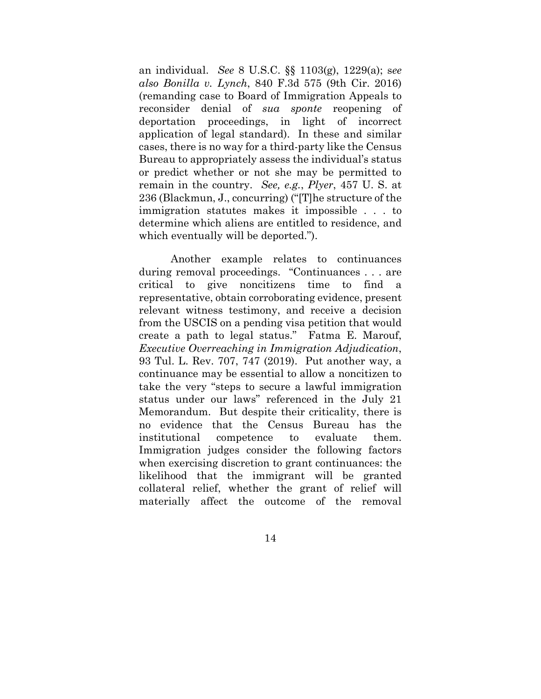an individual. *See* 8 U.S.C. §§ 1103(g), 1229(a); s*ee also Bonilla v. Lynch*, 840 F.3d 575 (9th Cir. 2016) (remanding case to Board of Immigration Appeals to reconsider denial of *sua sponte* reopening of deportation proceedings, in light of incorrect application of legal standard). In these and similar cases, there is no way for a third-party like the Census Bureau to appropriately assess the individual's status or predict whether or not she may be permitted to remain in the country. *See, e.g.*, *Plyer*, 457 U. S. at 236 (Blackmun, J., concurring) ("[T]he structure of the immigration statutes makes it impossible . . . to determine which aliens are entitled to residence, and which eventually will be deported.").

Another example relates to continuances during removal proceedings. "Continuances . . . are critical to give noncitizens time to find a representative, obtain corroborating evidence, present relevant witness testimony, and receive a decision from the USCIS on a pending visa petition that would create a path to legal status." Fatma E. Marouf, *Executive Overreaching in Immigration Adjudication*, 93 Tul. L. Rev. 707, 747 (2019). Put another way, a continuance may be essential to allow a noncitizen to take the very "steps to secure a lawful immigration status under our laws" referenced in the July 21 Memorandum. But despite their criticality, there is no evidence that the Census Bureau has the institutional competence to evaluate them. Immigration judges consider the following factors when exercising discretion to grant continuances: the likelihood that the immigrant will be granted collateral relief, whether the grant of relief will materially affect the outcome of the removal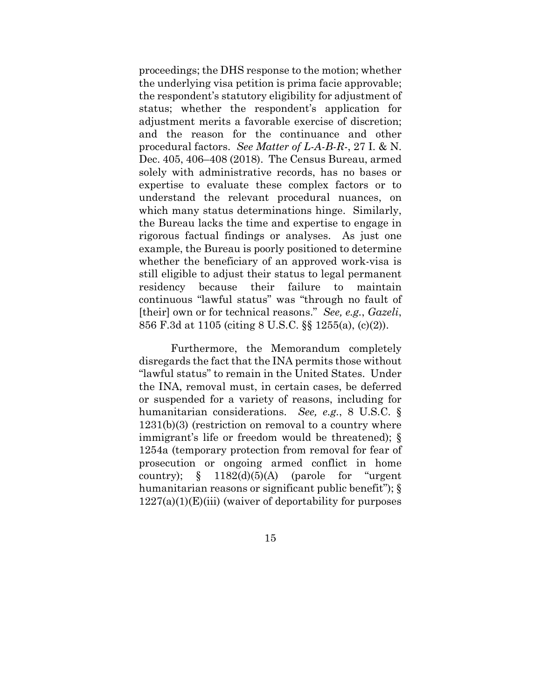proceedings; the DHS response to the motion; whether the underlying visa petition is prima facie approvable; the respondent's statutory eligibility for adjustment of status; whether the respondent's application for adjustment merits a favorable exercise of discretion; and the reason for the continuance and other procedural factors. *See Matter of L-A-B-R-*, 27 I. & N. Dec. 405, 406–408 (2018). The Census Bureau, armed solely with administrative records, has no bases or expertise to evaluate these complex factors or to understand the relevant procedural nuances, on which many status determinations hinge. Similarly, the Bureau lacks the time and expertise to engage in rigorous factual findings or analyses. As just one example, the Bureau is poorly positioned to determine whether the beneficiary of an approved work-visa is still eligible to adjust their status to legal permanent residency because their failure to maintain continuous "lawful status" was "through no fault of [their] own or for technical reasons." *See, e.g.*, *Gazeli*, 856 F.3d at 1105 (citing 8 U.S.C. §§ 1255(a), (c)(2)).

Furthermore, the Memorandum completely disregards the fact that the INA permits those without "lawful status" to remain in the United States. Under the INA, removal must, in certain cases, be deferred or suspended for a variety of reasons, including for humanitarian considerations. *See, e.g.*, 8 U.S.C. § 1231(b)(3) (restriction on removal to a country where immigrant's life or freedom would be threatened); § 1254a (temporary protection from removal for fear of prosecution or ongoing armed conflict in home country);  $\S$  1182(d)(5)(A) (parole for "urgent" humanitarian reasons or significant public benefit");  $\S$  $1227(a)(1)(E)(iii)$  (waiver of deportability for purposes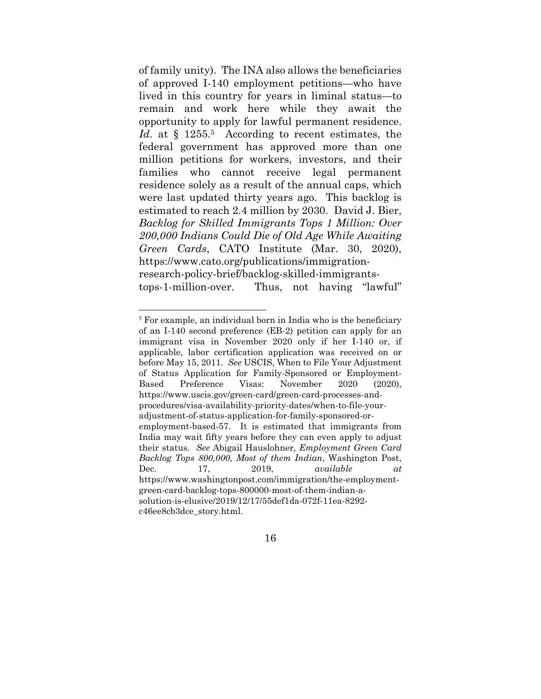of family unity). The INA also allows the beneficiaries of approved I-140 employment petitions—who have lived in this country for years in liminal status—to remain and work here while they await the opportunity to apply for lawful permanent residence. Id. at § 1255.<sup>5</sup> According to recent estimates, the federal government has approved more than one million petitions for workers, investors, and their families who cannot receive legal permanent residence solely as a result of the annual caps, which were last updated thirty years ago. This backlog is estimated to reach 2.4 million by 2030. David J. Bier, *Backlog for Skilled Immigrants Tops 1 Million: Over 200,000 Indians Could Die of Old Age While Awaiting Green Cards*, CATO Institute (Mar. 30, 2020), https://www.cato.org/publications/immigrationresearch-policy-brief/backlog-skilled-immigrantstops-1-million-over. Thus, not having "lawful"

<sup>5</sup> For example, an individual born in India who is the beneficiary of an I-140 second preference (EB-2) petition can apply for an immigrant visa in November 2020 only if her I-140 or, if applicable, labor certification application was received on or before May 15, 2011. *See* USCIS, When to File Your Adjustment of Status Application for Family-Sponsored or Employment-Based Preference Visas: November 2020 (2020), https://www.uscis.gov/green-card/green-card-processes-andprocedures/visa-availability-priority-dates/when-to-file-youradjustment-of-status-application-for-family-sponsored-oremployment-based-57. It is estimated that immigrants from India may wait fifty years before they can even apply to adjust their status. *See* Abigail Hauslohner, *Employment Green Card Backlog Tops 800,000, Most of them Indian*, Washington Post, Dec. 17, 2019, *available at*  https://www.washingtonpost.com/immigration/the-employmentgreen-card-backlog-tops-800000-most-of-them-indian-asolution-is-elusive/2019/12/17/55def1da-072f-11ea-8292 c46ee8cb3dce\_story.html.

<sup>16</sup>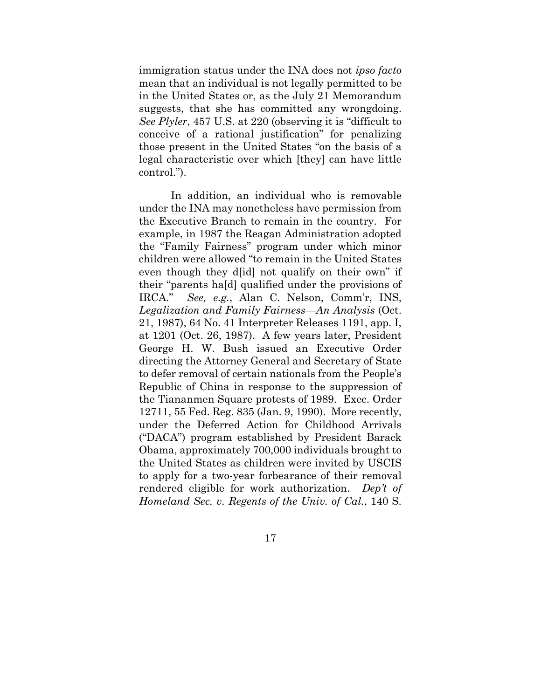immigration status under the INA does not *ipso facto*  mean that an individual is not legally permitted to be in the United States or, as the July 21 Memorandum suggests, that she has committed any wrongdoing. *See Plyler*, 457 U.S. at 220 (observing it is "difficult to conceive of a rational justification" for penalizing those present in the United States "on the basis of a legal characteristic over which [they] can have little control.").

In addition, an individual who is removable under the INA may nonetheless have permission from the Executive Branch to remain in the country. For example, in 1987 the Reagan Administration adopted the "Family Fairness" program under which minor children were allowed "to remain in the United States even though they d[id] not qualify on their own" if their "parents ha[d] qualified under the provisions of IRCA." *See, e.g.*, Alan C. Nelson, Comm'r, INS, *Legalization and Family Fairness—An Analysis* (Oct. 21, 1987), 64 No. 41 Interpreter Releases 1191, app. I, at 1201 (Oct. 26, 1987). A few years later, President George H. W. Bush issued an Executive Order directing the Attorney General and Secretary of State to defer removal of certain nationals from the People's Republic of China in response to the suppression of the Tiananmen Square protests of 1989. Exec. Order 12711, 55 Fed. Reg. 835 (Jan. 9, 1990). More recently, under the Deferred Action for Childhood Arrivals ("DACA") program established by President Barack Obama, approximately 700,000 individuals brought to the United States as children were invited by USCIS to apply for a two-year forbearance of their removal rendered eligible for work authorization. *Dep't of Homeland Sec. v. Regents of the Univ. of Cal.*, 140 S.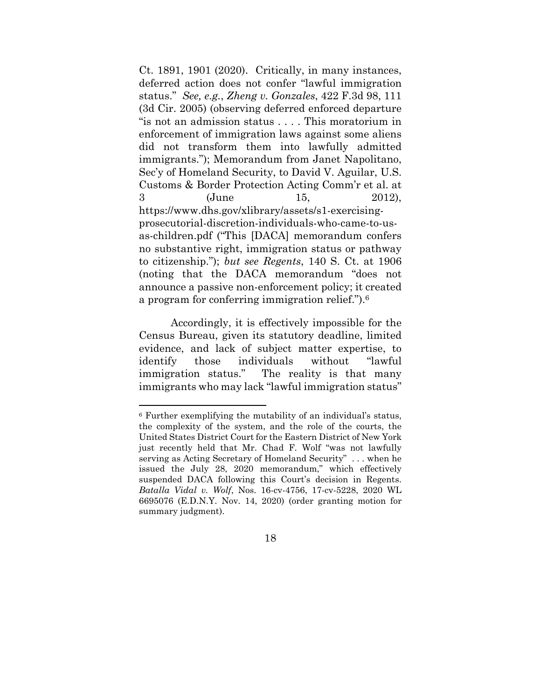Ct. 1891, 1901 (2020). Critically, in many instances, deferred action does not confer "lawful immigration status." *See, e.g.*, *Zheng v. Gonzales*, 422 F.3d 98, 111 (3d Cir. 2005) (observing deferred enforced departure "is not an admission status . . . . This moratorium in enforcement of immigration laws against some aliens did not transform them into lawfully admitted immigrants."); Memorandum from Janet Napolitano, Sec'y of Homeland Security, to David V. Aguilar, U.S. Customs & Border Protection Acting Comm'r et al. at 3 (June 15, 2012), https://www.dhs.gov/xlibrary/assets/s1-exercisingprosecutorial-discretion-individuals-who-came-to-usas-children.pdf ("This [DACA] memorandum confers no substantive right, immigration status or pathway to citizenship."); *but see Regents*, 140 S. Ct. at 1906 (noting that the DACA memorandum "does not announce a passive non-enforcement policy; it created a program for conferring immigration relief.").6

Accordingly, it is effectively impossible for the Census Bureau, given its statutory deadline, limited evidence, and lack of subject matter expertise, to identify those individuals without "lawful immigration status." The reality is that many immigrants who may lack "lawful immigration status"

<sup>6</sup> Further exemplifying the mutability of an individual's status, the complexity of the system, and the role of the courts, the United States District Court for the Eastern District of New York just recently held that Mr. Chad F. Wolf "was not lawfully serving as Acting Secretary of Homeland Security" . . . when he issued the July 28, 2020 memorandum," which effectively suspended DACA following this Court's decision in Regents. *Batalla Vidal v. Wolf*, Nos. 16-cv-4756, 17-cv-5228, 2020 WL 6695076 (E.D.N.Y. Nov. 14, 2020) (order granting motion for summary judgment).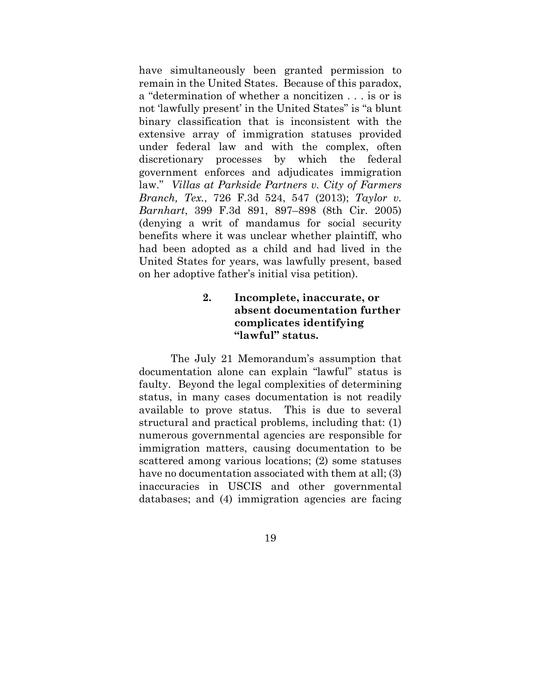have simultaneously been granted permission to remain in the United States. Because of this paradox, a "determination of whether a noncitizen . . . is or is not 'lawfully present' in the United States" is "a blunt binary classification that is inconsistent with the extensive array of immigration statuses provided under federal law and with the complex, often discretionary processes by which the federal government enforces and adjudicates immigration law." *Villas at Parkside Partners v. City of Farmers Branch, Tex.*, 726 F.3d 524, 547 (2013); *Taylor v. Barnhart*, 399 F.3d 891, 897–898 (8th Cir. 2005) (denying a writ of mandamus for social security benefits where it was unclear whether plaintiff, who had been adopted as a child and had lived in the United States for years, was lawfully present, based on her adoptive father's initial visa petition).

### **2. Incomplete, inaccurate, or absent documentation further complicates identifying "lawful" status.**

The July 21 Memorandum's assumption that documentation alone can explain "lawful" status is faulty. Beyond the legal complexities of determining status, in many cases documentation is not readily available to prove status. This is due to several structural and practical problems, including that: (1) numerous governmental agencies are responsible for immigration matters, causing documentation to be scattered among various locations; (2) some statuses have no documentation associated with them at all; (3) inaccuracies in USCIS and other governmental databases; and (4) immigration agencies are facing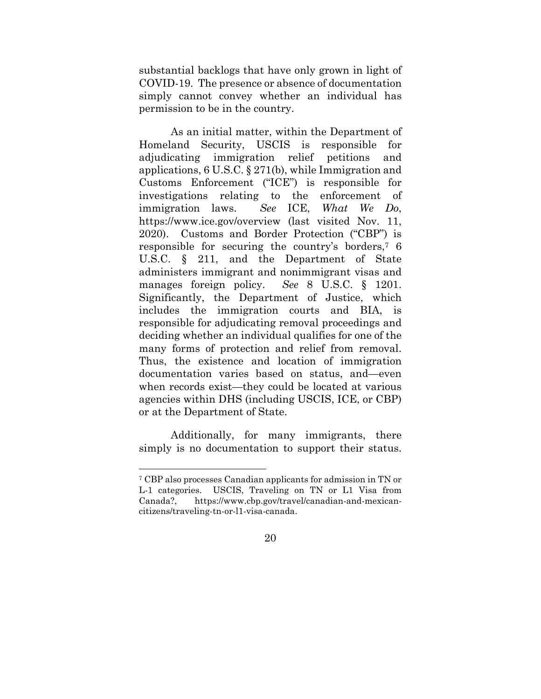substantial backlogs that have only grown in light of COVID-19. The presence or absence of documentation simply cannot convey whether an individual has permission to be in the country.

As an initial matter, within the Department of Homeland Security, USCIS is responsible for adjudicating immigration relief petitions and applications, 6 U.S.C. § 271(b), while Immigration and Customs Enforcement ("ICE") is responsible for investigations relating to the enforcement of immigration laws. *See* ICE, *What We Do*, https://www.ice.gov/overview (last visited Nov. 11, 2020). Customs and Border Protection ("CBP") is responsible for securing the country's borders,7 6 U.S.C. § 211, and the Department of State administers immigrant and nonimmigrant visas and manages foreign policy. *See* 8 U.S.C. § 1201. Significantly, the Department of Justice, which includes the immigration courts and BIA, is responsible for adjudicating removal proceedings and deciding whether an individual qualifies for one of the many forms of protection and relief from removal. Thus, the existence and location of immigration documentation varies based on status, and—even when records exist—they could be located at various agencies within DHS (including USCIS, ICE, or CBP) or at the Department of State.

Additionally, for many immigrants, there simply is no documentation to support their status.

<sup>7</sup> CBP also processes Canadian applicants for admission in TN or L-1 categories. USCIS, Traveling on TN or L1 Visa from Canada?, https://www.cbp.gov/travel/canadian-and-mexicancitizens/traveling-tn-or-l1-visa-canada.

<sup>20</sup>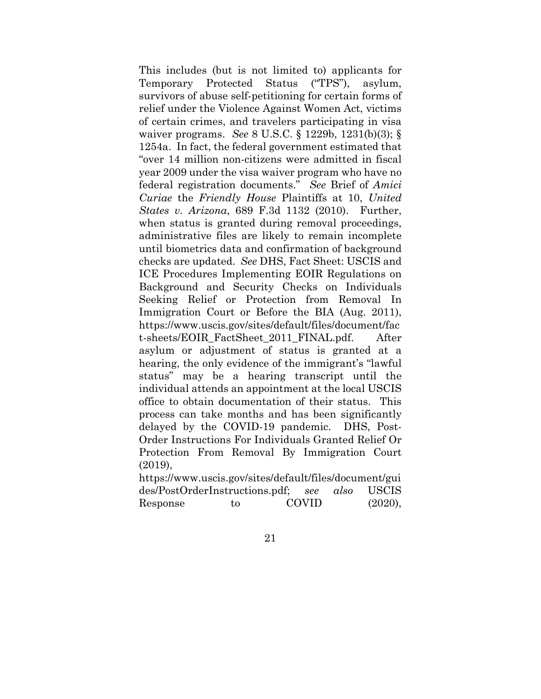This includes (but is not limited to) applicants for Temporary Protected Status ("TPS"), asylum, survivors of abuse self-petitioning for certain forms of relief under the Violence Against Women Act, victims of certain crimes, and travelers participating in visa waiver programs. *See* 8 U.S.C. § 1229b, 1231(b)(3); § 1254a. In fact, the federal government estimated that "over 14 million non-citizens were admitted in fiscal year 2009 under the visa waiver program who have no federal registration documents." *See* Brief of *Amici Curiae* the *Friendly House* Plaintiffs at 10, *United States v. Arizona*, 689 F.3d 1132 (2010). Further, when status is granted during removal proceedings, administrative files are likely to remain incomplete until biometrics data and confirmation of background checks are updated. *See* DHS, Fact Sheet: USCIS and ICE Procedures Implementing EOIR Regulations on Background and Security Checks on Individuals Seeking Relief or Protection from Removal In Immigration Court or Before the BIA (Aug. 2011), https://www.uscis.gov/sites/default/files/document/fac t-sheets/EOIR\_FactSheet\_2011\_FINAL.pdf. After asylum or adjustment of status is granted at a hearing, the only evidence of the immigrant's "lawful status" may be a hearing transcript until the individual attends an appointment at the local USCIS office to obtain documentation of their status. This process can take months and has been significantly delayed by the COVID-19 pandemic. DHS, Post-Order Instructions For Individuals Granted Relief Or Protection From Removal By Immigration Court (2019),

https://www.uscis.gov/sites/default/files/document/gui des/PostOrderInstructions.pdf; *see also* USCIS Response to COVID (2020),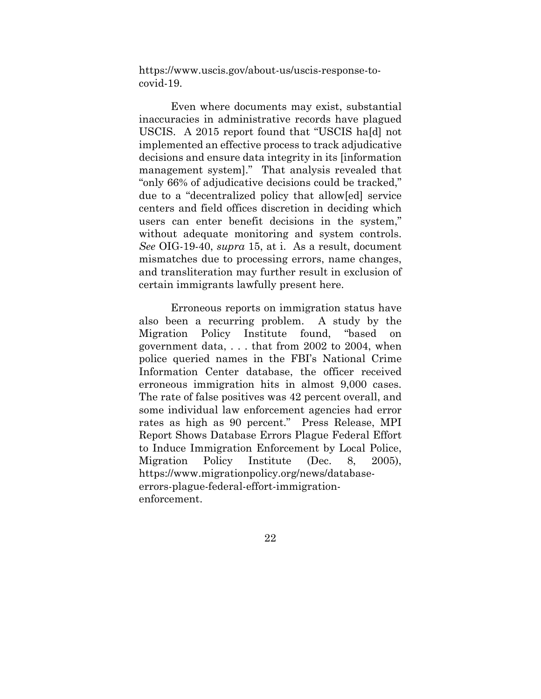https://www.uscis.gov/about-us/uscis-response-tocovid-19.

Even where documents may exist, substantial inaccuracies in administrative records have plagued USCIS. A 2015 report found that "USCIS ha[d] not implemented an effective process to track adjudicative decisions and ensure data integrity in its [information management system]." That analysis revealed that "only 66% of adjudicative decisions could be tracked," due to a "decentralized policy that allow[ed] service centers and field offices discretion in deciding which users can enter benefit decisions in the system," without adequate monitoring and system controls. *See* OIG-19-40, *supra* 15, at i. As a result, document mismatches due to processing errors, name changes, and transliteration may further result in exclusion of certain immigrants lawfully present here.

Erroneous reports on immigration status have also been a recurring problem. A study by the Migration Policy Institute found, "based on government data, . . . that from 2002 to 2004, when police queried names in the FBI's National Crime Information Center database, the officer received erroneous immigration hits in almost 9,000 cases. The rate of false positives was 42 percent overall, and some individual law enforcement agencies had error rates as high as 90 percent." Press Release, MPI Report Shows Database Errors Plague Federal Effort to Induce Immigration Enforcement by Local Police, Migration Policy Institute (Dec. 8, 2005), https://www.migrationpolicy.org/news/databaseerrors-plague-federal-effort-immigrationenforcement.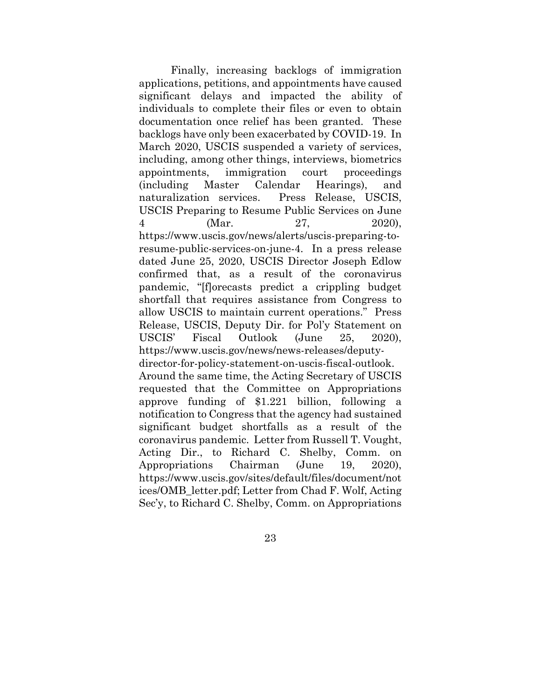Finally, increasing backlogs of immigration applications, petitions, and appointments have caused significant delays and impacted the ability of individuals to complete their files or even to obtain documentation once relief has been granted. These backlogs have only been exacerbated by COVID-19. In March 2020, USCIS suspended a variety of services, including, among other things, interviews, biometrics appointments, immigration court proceedings (including Master Calendar Hearings), and naturalization services. Press Release, USCIS, USCIS Preparing to Resume Public Services on June 4 (Mar. 27, 2020), https://www.uscis.gov/news/alerts/uscis-preparing-toresume-public-services-on-june-4. In a press release dated June 25, 2020, USCIS Director Joseph Edlow confirmed that, as a result of the coronavirus pandemic, "[f]orecasts predict a crippling budget shortfall that requires assistance from Congress to allow USCIS to maintain current operations." Press Release, USCIS, Deputy Dir. for Pol'y Statement on USCIS' Fiscal Outlook (June 25, 2020), https://www.uscis.gov/news/news-releases/deputydirector-for-policy-statement-on-uscis-fiscal-outlook.

Around the same time, the Acting Secretary of USCIS requested that the Committee on Appropriations approve funding of \$1.221 billion, following a notification to Congress that the agency had sustained significant budget shortfalls as a result of the coronavirus pandemic. Letter from Russell T. Vought, Acting Dir., to Richard C. Shelby, Comm. on Appropriations Chairman (June 19, 2020), https://www.uscis.gov/sites/default/files/document/not ices/OMB\_letter.pdf; Letter from Chad F. Wolf, Acting Sec'y, to Richard C. Shelby, Comm. on Appropriations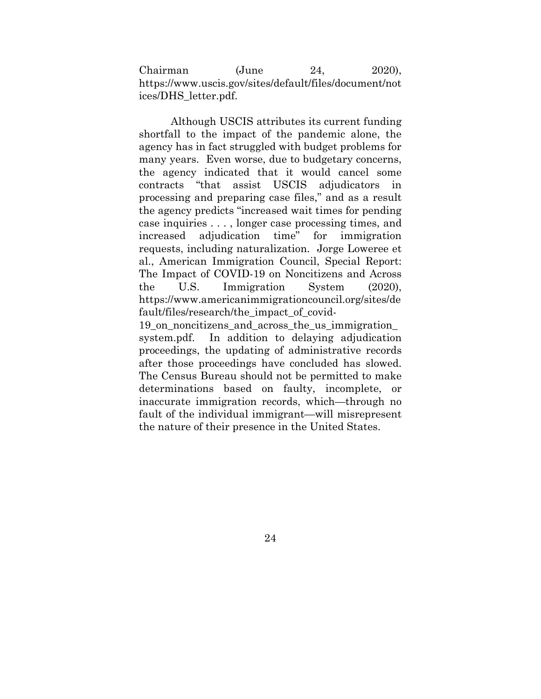Chairman (June 24, 2020), https://www.uscis.gov/sites/default/files/document/not ices/DHS\_letter.pdf.

Although USCIS attributes its current funding shortfall to the impact of the pandemic alone, the agency has in fact struggled with budget problems for many years. Even worse, due to budgetary concerns, the agency indicated that it would cancel some contracts "that assist USCIS adjudicators in processing and preparing case files," and as a result the agency predicts "increased wait times for pending case inquiries . . . , longer case processing times, and increased adjudication time" for immigration requests, including naturalization. Jorge Loweree et al., American Immigration Council, Special Report: The Impact of COVID-19 on Noncitizens and Across the U.S. Immigration System (2020), https://www.americanimmigrationcouncil.org/sites/de fault/files/research/the\_impact\_of\_covid-

19\_on\_noncitizens\_and\_across\_the\_us\_immigration\_ system.pdf. In addition to delaying adjudication proceedings, the updating of administrative records after those proceedings have concluded has slowed. The Census Bureau should not be permitted to make determinations based on faulty, incomplete, or inaccurate immigration records, which—through no fault of the individual immigrant—will misrepresent the nature of their presence in the United States.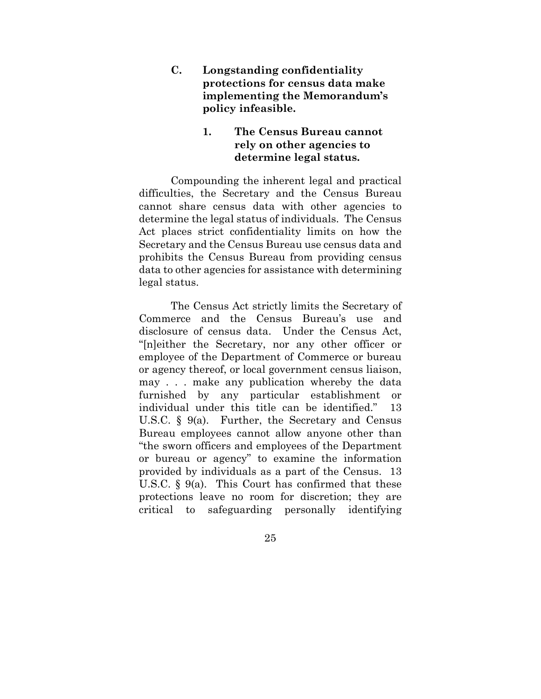**C. Longstanding confidentiality protections for census data make implementing the Memorandum's policy infeasible.** 

### **1. The Census Bureau cannot rely on other agencies to determine legal status.**

Compounding the inherent legal and practical difficulties, the Secretary and the Census Bureau cannot share census data with other agencies to determine the legal status of individuals. The Census Act places strict confidentiality limits on how the Secretary and the Census Bureau use census data and prohibits the Census Bureau from providing census data to other agencies for assistance with determining legal status.

The Census Act strictly limits the Secretary of Commerce and the Census Bureau's use and disclosure of census data. Under the Census Act, "[n]either the Secretary, nor any other officer or employee of the Department of Commerce or bureau or agency thereof, or local government census liaison, may . . . make any publication whereby the data furnished by any particular establishment or individual under this title can be identified." 13 U.S.C. § 9(a). Further, the Secretary and Census Bureau employees cannot allow anyone other than "the sworn officers and employees of the Department or bureau or agency" to examine the information provided by individuals as a part of the Census. 13 U.S.C. § 9(a). This Court has confirmed that these protections leave no room for discretion; they are critical to safeguarding personally identifying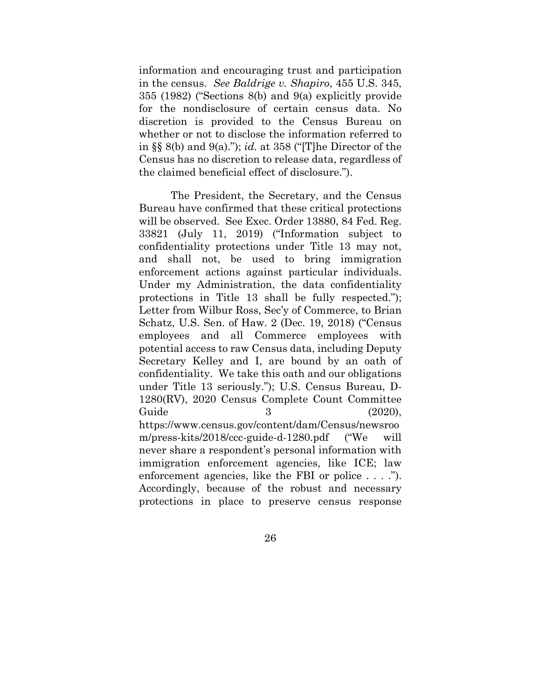information and encouraging trust and participation in the census. *See Baldrige v. Shapiro*, 455 U.S. 345, 355 (1982) ("Sections 8(b) and 9(a) explicitly provide for the nondisclosure of certain census data. No discretion is provided to the Census Bureau on whether or not to disclose the information referred to in §§ 8(b) and 9(a)."); *id.* at 358 ("[T]he Director of the Census has no discretion to release data, regardless of the claimed beneficial effect of disclosure.").

The President, the Secretary, and the Census Bureau have confirmed that these critical protections will be observed. See Exec. Order 13880, 84 Fed. Reg. 33821 (July 11, 2019) ("Information subject to confidentiality protections under Title 13 may not, and shall not, be used to bring immigration enforcement actions against particular individuals. Under my Administration, the data confidentiality protections in Title 13 shall be fully respected."); Letter from Wilbur Ross, Sec'y of Commerce, to Brian Schatz, U.S. Sen. of Haw. 2 (Dec. 19, 2018) ("Census employees and all Commerce employees with potential access to raw Census data, including Deputy Secretary Kelley and I, are bound by an oath of confidentiality. We take this oath and our obligations under Title 13 seriously."); U.S. Census Bureau, D-1280(RV), 2020 Census Complete Count Committee Guide 3 (2020), https://www.census.gov/content/dam/Census/newsroo m/press-kits/2018/ccc-guide-d-1280.pdf ("We will never share a respondent's personal information with immigration enforcement agencies, like ICE; law enforcement agencies, like the FBI or police . . . ."). Accordingly, because of the robust and necessary protections in place to preserve census response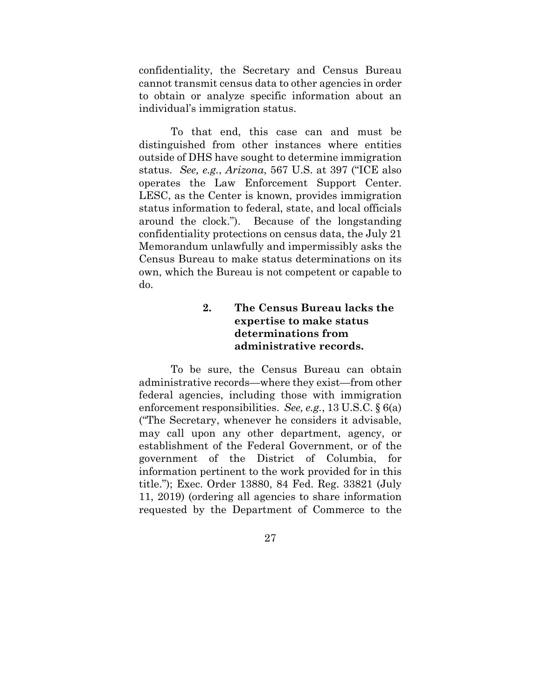confidentiality, the Secretary and Census Bureau cannot transmit census data to other agencies in order to obtain or analyze specific information about an individual's immigration status.

To that end, this case can and must be distinguished from other instances where entities outside of DHS have sought to determine immigration status. *See, e.g.*, *Arizona*, 567 U.S. at 397 ("ICE also operates the Law Enforcement Support Center. LESC, as the Center is known, provides immigration status information to federal, state, and local officials around the clock."). Because of the longstanding confidentiality protections on census data, the July 21 Memorandum unlawfully and impermissibly asks the Census Bureau to make status determinations on its own, which the Bureau is not competent or capable to do.

### **2. The Census Bureau lacks the expertise to make status determinations from administrative records.**

To be sure, the Census Bureau can obtain administrative records—where they exist—from other federal agencies, including those with immigration enforcement responsibilities. *See, e.g.*, 13 U.S.C. § 6(a) ("The Secretary, whenever he considers it advisable, may call upon any other department, agency, or establishment of the Federal Government, or of the government of the District of Columbia, information pertinent to the work provided for in this title."); Exec. Order 13880, 84 Fed. Reg. 33821 (July 11, 2019) (ordering all agencies to share information requested by the Department of Commerce to the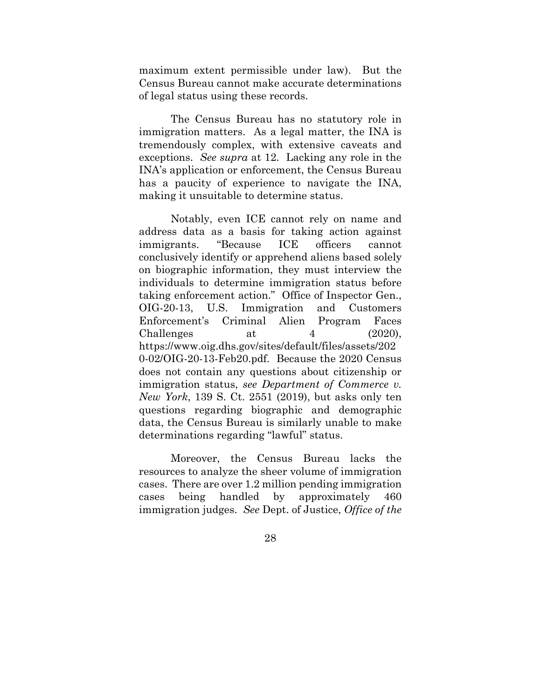maximum extent permissible under law). But the Census Bureau cannot make accurate determinations of legal status using these records.

The Census Bureau has no statutory role in immigration matters. As a legal matter, the INA is tremendously complex, with extensive caveats and exceptions. *See supra* at 12. Lacking any role in the INA's application or enforcement, the Census Bureau has a paucity of experience to navigate the INA, making it unsuitable to determine status.

Notably, even ICE cannot rely on name and address data as a basis for taking action against immigrants. "Because ICE officers cannot conclusively identify or apprehend aliens based solely on biographic information, they must interview the individuals to determine immigration status before taking enforcement action." Office of Inspector Gen., OIG-20-13, U.S. Immigration and Customers Enforcement's Criminal Alien Program Faces Challenges at  $4$  (2020), https://www.oig.dhs.gov/sites/default/files/assets/202 0-02/OIG-20-13-Feb20.pdf. Because the 2020 Census does not contain any questions about citizenship or immigration status, *see Department of Commerce v. New York*, 139 S. Ct. 2551 (2019), but asks only ten questions regarding biographic and demographic data, the Census Bureau is similarly unable to make determinations regarding "lawful" status.

Moreover, the Census Bureau lacks the resources to analyze the sheer volume of immigration cases. There are over 1.2 million pending immigration cases being handled by approximately 460 immigration judges. *See* Dept. of Justice, *Office of the*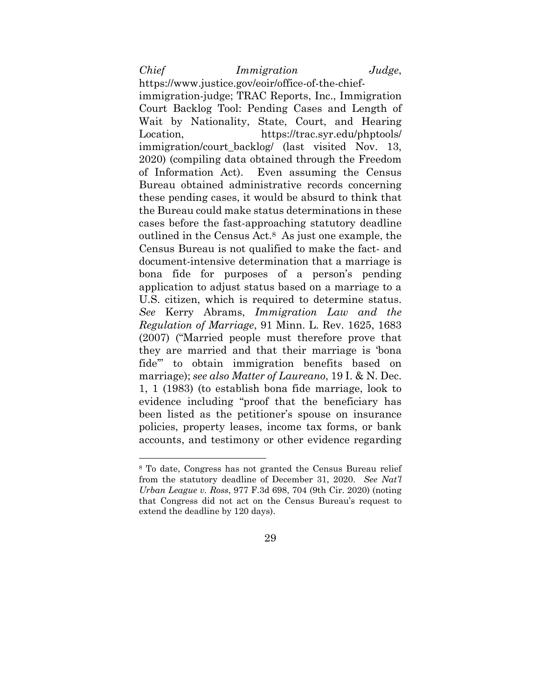*Chief Immigration Judge*,

https://www.justice.gov/eoir/office-of-the-chiefimmigration-judge; TRAC Reports, Inc., Immigration Court Backlog Tool: Pending Cases and Length of Wait by Nationality, State, Court, and Hearing Location, https://trac.syr.edu/phptools/ immigration/court\_backlog/ (last\_visited Nov. 13, 2020) (compiling data obtained through the Freedom of Information Act). Even assuming the Census Bureau obtained administrative records concerning these pending cases, it would be absurd to think that the Bureau could make status determinations in these cases before the fast-approaching statutory deadline outlined in the Census Act.8 As just one example, the Census Bureau is not qualified to make the fact- and document-intensive determination that a marriage is bona fide for purposes of a person's pending application to adjust status based on a marriage to a U.S. citizen, which is required to determine status. *See* Kerry Abrams, *Immigration Law and the Regulation of Marriage*, 91 Minn. L. Rev. 1625, 1683 (2007) ("Married people must therefore prove that they are married and that their marriage is 'bona fide'" to obtain immigration benefits based on marriage); *see also Matter of Laureano*, 19 I. & N. Dec. 1, 1 (1983) (to establish bona fide marriage, look to evidence including "proof that the beneficiary has been listed as the petitioner's spouse on insurance policies, property leases, income tax forms, or bank accounts, and testimony or other evidence regarding

<sup>8</sup> To date, Congress has not granted the Census Bureau relief from the statutory deadline of December 31, 2020. *See Nat'l Urban League v. Ross*, 977 F.3d 698, 704 (9th Cir. 2020) (noting that Congress did not act on the Census Bureau's request to extend the deadline by 120 days).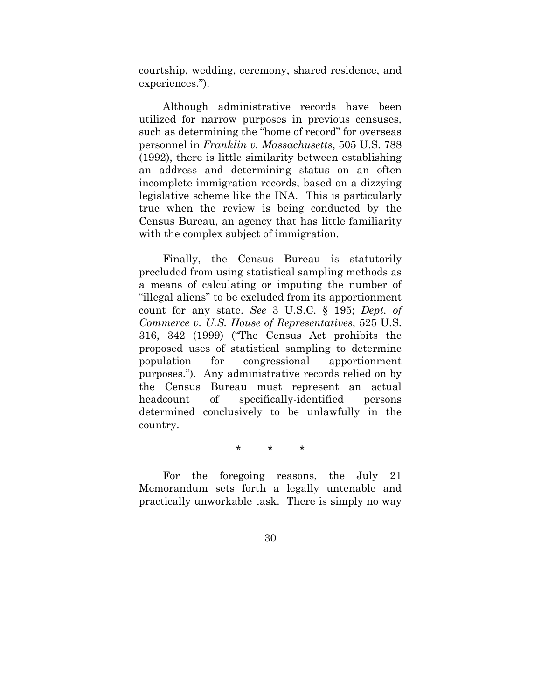courtship, wedding, ceremony, shared residence, and experiences.").

Although administrative records have been utilized for narrow purposes in previous censuses, such as determining the "home of record" for overseas personnel in *Franklin v. Massachusetts*, 505 U.S. 788 (1992), there is little similarity between establishing an address and determining status on an often incomplete immigration records, based on a dizzying legislative scheme like the INA. This is particularly true when the review is being conducted by the Census Bureau, an agency that has little familiarity with the complex subject of immigration.

Finally, the Census Bureau is statutorily precluded from using statistical sampling methods as a means of calculating or imputing the number of "illegal aliens" to be excluded from its apportionment count for any state. *See* 3 U.S.C. § 195; *Dept. of Commerce v. U.S. House of Representatives*, 525 U.S. 316, 342 (1999) ("The Census Act prohibits the proposed uses of statistical sampling to determine population for congressional apportionment purposes."). Any administrative records relied on by the Census Bureau must represent an actual headcount of specifically-identified persons determined conclusively to be unlawfully in the country.

\* \* \*

For the foregoing reasons, the July 21 Memorandum sets forth a legally untenable and practically unworkable task. There is simply no way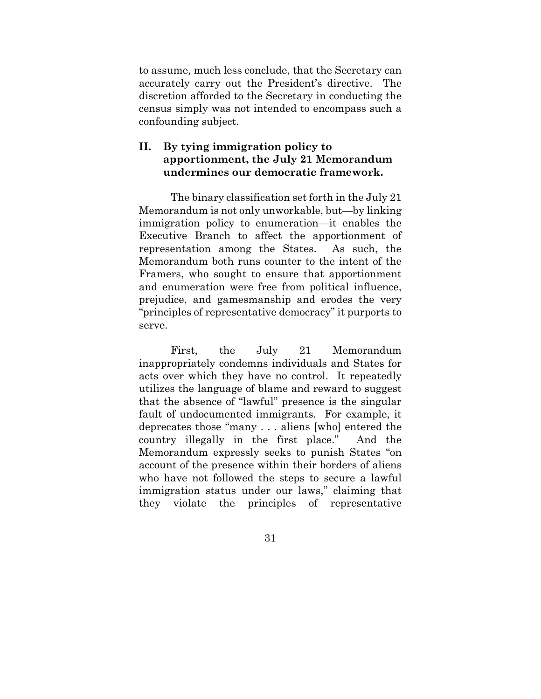to assume, much less conclude, that the Secretary can accurately carry out the President's directive. The discretion afforded to the Secretary in conducting the census simply was not intended to encompass such a confounding subject.

### **II. By tying immigration policy to apportionment, the July 21 Memorandum undermines our democratic framework.**

The binary classification set forth in the July 21 Memorandum is not only unworkable, but—by linking immigration policy to enumeration—it enables the Executive Branch to affect the apportionment of representation among the States. As such, the Memorandum both runs counter to the intent of the Framers, who sought to ensure that apportionment and enumeration were free from political influence, prejudice, and gamesmanship and erodes the very "principles of representative democracy" it purports to serve.

First, the July 21 Memorandum inappropriately condemns individuals and States for acts over which they have no control. It repeatedly utilizes the language of blame and reward to suggest that the absence of "lawful" presence is the singular fault of undocumented immigrants. For example, it deprecates those "many . . . aliens [who] entered the country illegally in the first place." And the Memorandum expressly seeks to punish States "on account of the presence within their borders of aliens who have not followed the steps to secure a lawful immigration status under our laws," claiming that they violate the principles of representative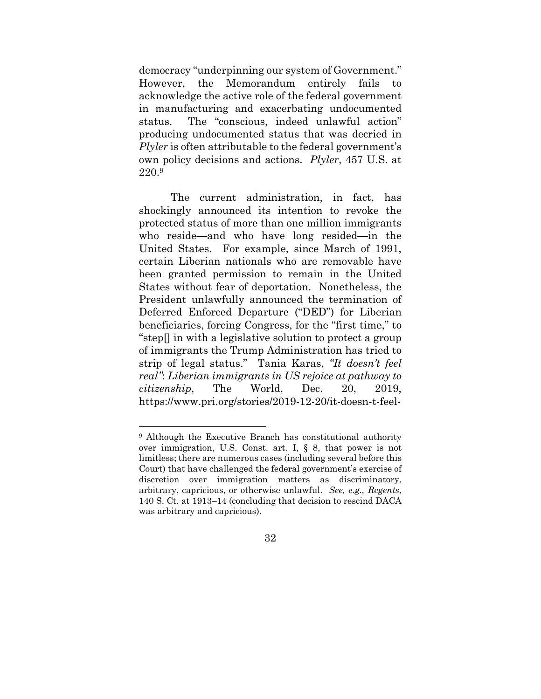democracy "underpinning our system of Government." However, the Memorandum entirely fails to acknowledge the active role of the federal government in manufacturing and exacerbating undocumented status. The "conscious, indeed unlawful action" producing undocumented status that was decried in *Plyler* is often attributable to the federal government's own policy decisions and actions. *Plyler*, 457 U.S. at 220.9

The current administration, in fact, has shockingly announced its intention to revoke the protected status of more than one million immigrants who reside—and who have long resided—in the United States. For example, since March of 1991, certain Liberian nationals who are removable have been granted permission to remain in the United States without fear of deportation. Nonetheless, the President unlawfully announced the termination of Deferred Enforced Departure ("DED") for Liberian beneficiaries, forcing Congress, for the "first time," to "step[] in with a legislative solution to protect a group of immigrants the Trump Administration has tried to strip of legal status." Tania Karas, *"It doesn't feel real"*: *Liberian immigrants in US rejoice at pathway to citizenship*, The World, Dec. 20, 2019, https://www.pri.org/stories/2019-12-20/it-doesn-t-feel-

<sup>&</sup>lt;sup>9</sup> Although the Executive Branch has constitutional authority over immigration, U.S. Const. art. I, § 8, that power is not limitless; there are numerous cases (including several before this Court) that have challenged the federal government's exercise of discretion over immigration matters as discriminatory, arbitrary, capricious, or otherwise unlawful. *See, e.g., Regents*, 140 S. Ct. at 1913–14 (concluding that decision to rescind DACA was arbitrary and capricious).

<sup>32</sup>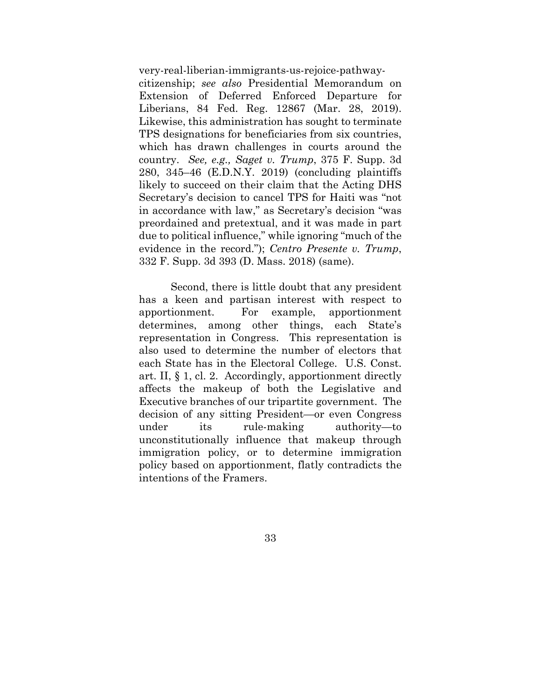very-real-liberian-immigrants-us-rejoice-pathway-

citizenship; *see also* Presidential Memorandum on Extension of Deferred Enforced Departure for Liberians, 84 Fed. Reg. 12867 (Mar. 28, 2019). Likewise, this administration has sought to terminate TPS designations for beneficiaries from six countries, which has drawn challenges in courts around the country. *See, e.g., Saget v. Trump*, 375 F. Supp. 3d 280, 345–46 (E.D.N.Y. 2019) (concluding plaintiffs likely to succeed on their claim that the Acting DHS Secretary's decision to cancel TPS for Haiti was "not in accordance with law," as Secretary's decision "was preordained and pretextual, and it was made in part due to political influence," while ignoring "much of the evidence in the record."); *Centro Presente v. Trump*, 332 F. Supp. 3d 393 (D. Mass. 2018) (same).

Second, there is little doubt that any president has a keen and partisan interest with respect to apportionment. For example, apportionment determines, among other things, each State's representation in Congress. This representation is also used to determine the number of electors that each State has in the Electoral College. U.S. Const. art. II, § 1, cl. 2. Accordingly, apportionment directly affects the makeup of both the Legislative and Executive branches of our tripartite government. The decision of any sitting President—or even Congress under its rule-making authority—to unconstitutionally influence that makeup through immigration policy, or to determine immigration policy based on apportionment, flatly contradicts the intentions of the Framers.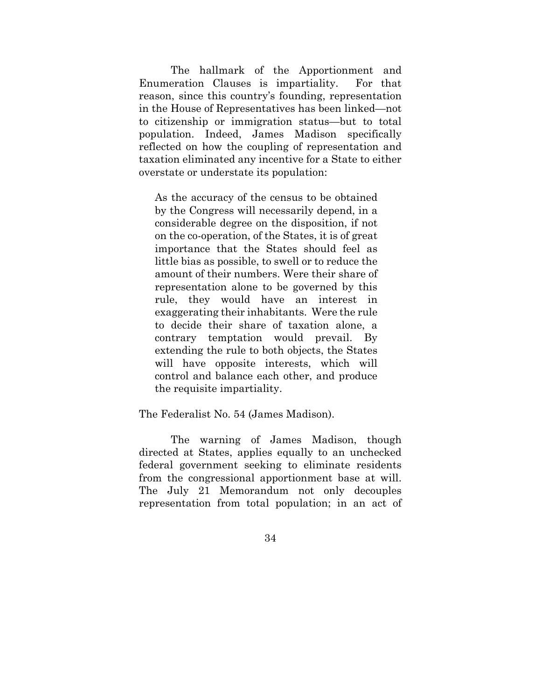The hallmark of the Apportionment and Enumeration Clauses is impartiality. For that reason, since this country's founding, representation in the House of Representatives has been linked—not to citizenship or immigration status—but to total population. Indeed, James Madison specifically reflected on how the coupling of representation and taxation eliminated any incentive for a State to either overstate or understate its population:

As the accuracy of the census to be obtained by the Congress will necessarily depend, in a considerable degree on the disposition, if not on the co-operation, of the States, it is of great importance that the States should feel as little bias as possible, to swell or to reduce the amount of their numbers. Were their share of representation alone to be governed by this rule, they would have an interest in exaggerating their inhabitants. Were the rule to decide their share of taxation alone, a contrary temptation would prevail. By extending the rule to both objects, the States will have opposite interests, which will control and balance each other, and produce the requisite impartiality.

#### The Federalist No. 54 (James Madison).

The warning of James Madison, though directed at States, applies equally to an unchecked federal government seeking to eliminate residents from the congressional apportionment base at will. The July 21 Memorandum not only decouples representation from total population; in an act of